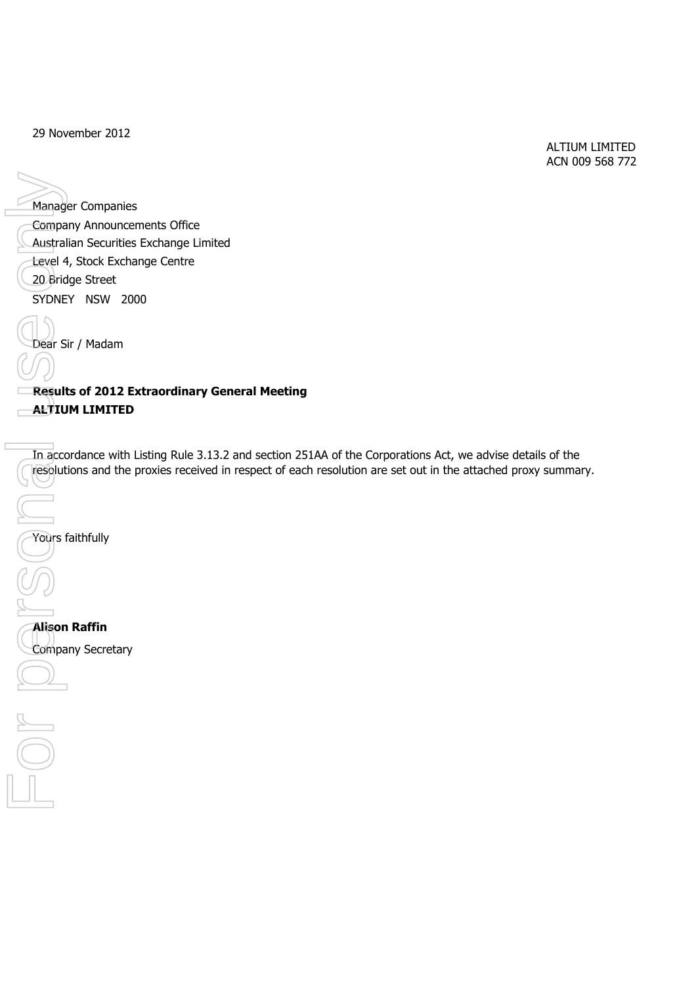29 November 2012

 ALTIUM LIMITED ACN 009 568 772

Manager Companies 20 Bridge Street SYDNEY NSW 2000 Dear Sir / Madam Company Announcements Office Australian Securities Exchange Limited Manager Companies<br>
Company Announcements Offic<br>
Caustralian Securities Exchange Centre<br>
C20 Bridge Street<br>
SYDNEY NSW 2000<br>
Dear Sir / Madam<br>
ALTIUM LIMITED<br>
The accordance with Listing Rule<br>
The accordance with Listing Ru

**Results of 2012 Extraordinary General Meeting ALTIUM LIMITED**

In accordance with Listing Rule 3.13.2 and section 251AA of the Corporations Act, we advise details of the resolutions and the proxies received in respect of each resolution are set out in the attached proxy summary.

Yours faithfully

**Alison Raffin** Company Secretary